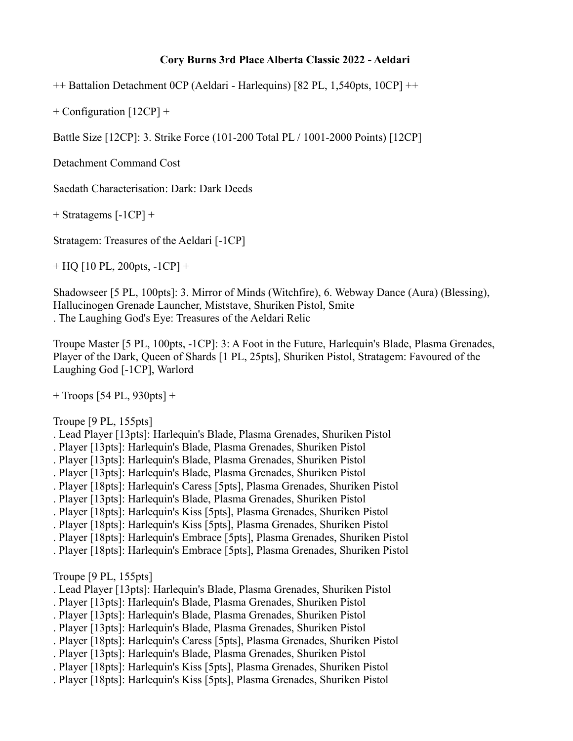# **Cory Burns 3rd Place Alberta Classic 2022 - Aeldari**

++ Battalion Detachment 0CP (Aeldari - Harlequins) [82 PL, 1,540pts, 10CP] ++

+ Configuration [12CP] +

Battle Size [12CP]: 3. Strike Force (101-200 Total PL / 1001-2000 Points) [12CP]

Detachment Command Cost

Saedath Characterisation: Dark: Dark Deeds

 $+$  Stratagems  $[-1CP] +$ 

Stratagem: Treasures of the Aeldari [-1CP]

+ HQ [10 PL, 200pts, -1CP] +

Shadowseer [5 PL, 100pts]: 3. Mirror of Minds (Witchfire), 6. Webway Dance (Aura) (Blessing), Hallucinogen Grenade Launcher, Miststave, Shuriken Pistol, Smite . The Laughing God's Eye: Treasures of the Aeldari Relic

Troupe Master [5 PL, 100pts, -1CP]: 3: A Foot in the Future, Harlequin's Blade, Plasma Grenades, Player of the Dark, Queen of Shards [1 PL, 25pts], Shuriken Pistol, Stratagem: Favoured of the Laughing God [-1CP], Warlord

+ Troops [54 PL, 930pts] +

Troupe [9 PL, 155pts]

- . Lead Player [13pts]: Harlequin's Blade, Plasma Grenades, Shuriken Pistol
- . Player [13pts]: Harlequin's Blade, Plasma Grenades, Shuriken Pistol
- . Player [13pts]: Harlequin's Blade, Plasma Grenades, Shuriken Pistol
- . Player [13pts]: Harlequin's Blade, Plasma Grenades, Shuriken Pistol
- . Player [18pts]: Harlequin's Caress [5pts], Plasma Grenades, Shuriken Pistol
- . Player [13pts]: Harlequin's Blade, Plasma Grenades, Shuriken Pistol
- . Player [18pts]: Harlequin's Kiss [5pts], Plasma Grenades, Shuriken Pistol
- . Player [18pts]: Harlequin's Kiss [5pts], Plasma Grenades, Shuriken Pistol
- . Player [18pts]: Harlequin's Embrace [5pts], Plasma Grenades, Shuriken Pistol
- . Player [18pts]: Harlequin's Embrace [5pts], Plasma Grenades, Shuriken Pistol

Troupe [9 PL, 155pts]

- . Lead Player [13pts]: Harlequin's Blade, Plasma Grenades, Shuriken Pistol
- . Player [13pts]: Harlequin's Blade, Plasma Grenades, Shuriken Pistol
- . Player [13pts]: Harlequin's Blade, Plasma Grenades, Shuriken Pistol
- . Player [13pts]: Harlequin's Blade, Plasma Grenades, Shuriken Pistol
- . Player [18pts]: Harlequin's Caress [5pts], Plasma Grenades, Shuriken Pistol
- . Player [13pts]: Harlequin's Blade, Plasma Grenades, Shuriken Pistol
- . Player [18pts]: Harlequin's Kiss [5pts], Plasma Grenades, Shuriken Pistol
- . Player [18pts]: Harlequin's Kiss [5pts], Plasma Grenades, Shuriken Pistol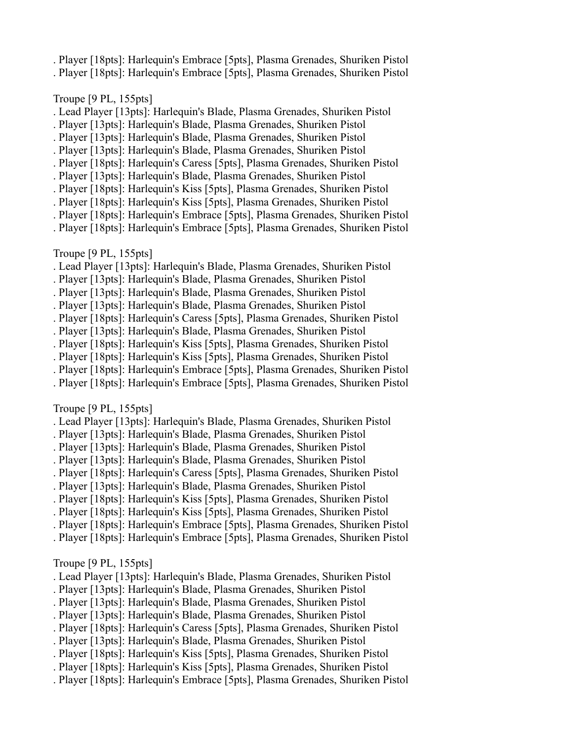- . Player [18pts]: Harlequin's Embrace [5pts], Plasma Grenades, Shuriken Pistol
- . Player [18pts]: Harlequin's Embrace [5pts], Plasma Grenades, Shuriken Pistol

### Troupe [9 PL, 155pts]

- . Lead Player [13pts]: Harlequin's Blade, Plasma Grenades, Shuriken Pistol
- . Player [13pts]: Harlequin's Blade, Plasma Grenades, Shuriken Pistol
- . Player [13pts]: Harlequin's Blade, Plasma Grenades, Shuriken Pistol
- . Player [13pts]: Harlequin's Blade, Plasma Grenades, Shuriken Pistol
- . Player [18pts]: Harlequin's Caress [5pts], Plasma Grenades, Shuriken Pistol
- . Player [13pts]: Harlequin's Blade, Plasma Grenades, Shuriken Pistol
- . Player [18pts]: Harlequin's Kiss [5pts], Plasma Grenades, Shuriken Pistol
- . Player [18pts]: Harlequin's Kiss [5pts], Plasma Grenades, Shuriken Pistol
- . Player [18pts]: Harlequin's Embrace [5pts], Plasma Grenades, Shuriken Pistol
- . Player [18pts]: Harlequin's Embrace [5pts], Plasma Grenades, Shuriken Pistol

## Troupe [9 PL, 155pts]

- . Lead Player [13pts]: Harlequin's Blade, Plasma Grenades, Shuriken Pistol
- . Player [13pts]: Harlequin's Blade, Plasma Grenades, Shuriken Pistol
- . Player [13pts]: Harlequin's Blade, Plasma Grenades, Shuriken Pistol
- . Player [13pts]: Harlequin's Blade, Plasma Grenades, Shuriken Pistol
- . Player [18pts]: Harlequin's Caress [5pts], Plasma Grenades, Shuriken Pistol
- . Player [13pts]: Harlequin's Blade, Plasma Grenades, Shuriken Pistol
- . Player [18pts]: Harlequin's Kiss [5pts], Plasma Grenades, Shuriken Pistol
- . Player [18pts]: Harlequin's Kiss [5pts], Plasma Grenades, Shuriken Pistol
- . Player [18pts]: Harlequin's Embrace [5pts], Plasma Grenades, Shuriken Pistol
- . Player [18pts]: Harlequin's Embrace [5pts], Plasma Grenades, Shuriken Pistol

### Troupe [9 PL, 155pts]

- . Lead Player [13pts]: Harlequin's Blade, Plasma Grenades, Shuriken Pistol
- . Player [13pts]: Harlequin's Blade, Plasma Grenades, Shuriken Pistol
- . Player [13pts]: Harlequin's Blade, Plasma Grenades, Shuriken Pistol
- . Player [13pts]: Harlequin's Blade, Plasma Grenades, Shuriken Pistol
- . Player [18pts]: Harlequin's Caress [5pts], Plasma Grenades, Shuriken Pistol
- . Player [13pts]: Harlequin's Blade, Plasma Grenades, Shuriken Pistol
- . Player [18pts]: Harlequin's Kiss [5pts], Plasma Grenades, Shuriken Pistol
- . Player [18pts]: Harlequin's Kiss [5pts], Plasma Grenades, Shuriken Pistol
- . Player [18pts]: Harlequin's Embrace [5pts], Plasma Grenades, Shuriken Pistol
- . Player [18pts]: Harlequin's Embrace [5pts], Plasma Grenades, Shuriken Pistol

### Troupe [9 PL, 155pts]

- . Lead Player [13pts]: Harlequin's Blade, Plasma Grenades, Shuriken Pistol
- . Player [13pts]: Harlequin's Blade, Plasma Grenades, Shuriken Pistol
- . Player [13pts]: Harlequin's Blade, Plasma Grenades, Shuriken Pistol
- . Player [13pts]: Harlequin's Blade, Plasma Grenades, Shuriken Pistol
- . Player [18pts]: Harlequin's Caress [5pts], Plasma Grenades, Shuriken Pistol
- . Player [13pts]: Harlequin's Blade, Plasma Grenades, Shuriken Pistol
- . Player [18pts]: Harlequin's Kiss [5pts], Plasma Grenades, Shuriken Pistol
- . Player [18pts]: Harlequin's Kiss [5pts], Plasma Grenades, Shuriken Pistol
- . Player [18pts]: Harlequin's Embrace [5pts], Plasma Grenades, Shuriken Pistol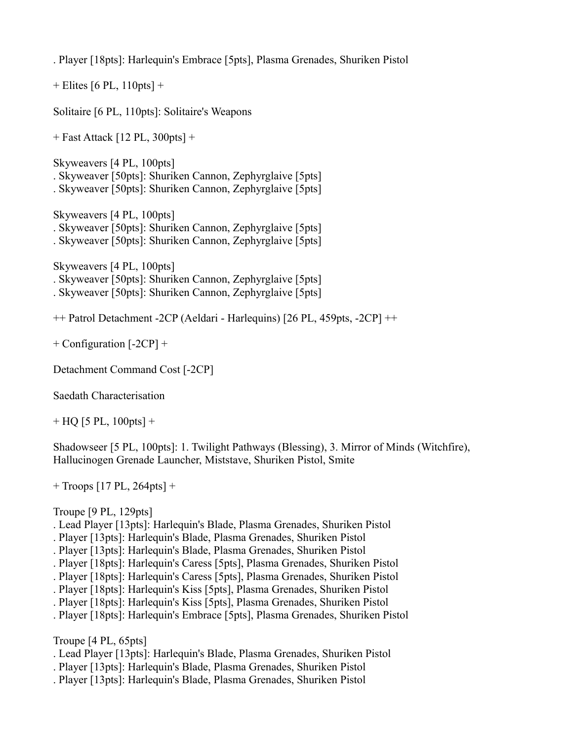. Player [18pts]: Harlequin's Embrace [5pts], Plasma Grenades, Shuriken Pistol

 $+$  Elites [6 PL, 110pts]  $+$ 

Solitaire [6 PL, 110pts]: Solitaire's Weapons

+ Fast Attack [12 PL, 300pts] +

Skyweavers [4 PL, 100pts] . Skyweaver [50pts]: Shuriken Cannon, Zephyrglaive [5pts]

. Skyweaver [50pts]: Shuriken Cannon, Zephyrglaive [5pts]

Skyweavers [4 PL, 100pts] . Skyweaver [50pts]: Shuriken Cannon, Zephyrglaive [5pts] . Skyweaver [50pts]: Shuriken Cannon, Zephyrglaive [5pts]

Skyweavers [4 PL, 100pts]

. Skyweaver [50pts]: Shuriken Cannon, Zephyrglaive [5pts]

. Skyweaver [50pts]: Shuriken Cannon, Zephyrglaive [5pts]

++ Patrol Detachment -2CP (Aeldari - Harlequins) [26 PL, 459pts, -2CP] ++

+ Configuration [-2CP] +

Detachment Command Cost [-2CP]

Saedath Characterisation

 $+$  HQ [5 PL, 100pts]  $+$ 

Shadowseer [5 PL, 100pts]: 1. Twilight Pathways (Blessing), 3. Mirror of Minds (Witchfire), Hallucinogen Grenade Launcher, Miststave, Shuriken Pistol, Smite

+ Troops [17 PL, 264pts] +

Troupe [9 PL, 129pts]

- . Lead Player [13pts]: Harlequin's Blade, Plasma Grenades, Shuriken Pistol
- . Player [13pts]: Harlequin's Blade, Plasma Grenades, Shuriken Pistol
- . Player [13pts]: Harlequin's Blade, Plasma Grenades, Shuriken Pistol
- . Player [18pts]: Harlequin's Caress [5pts], Plasma Grenades, Shuriken Pistol
- . Player [18pts]: Harlequin's Caress [5pts], Plasma Grenades, Shuriken Pistol
- . Player [18pts]: Harlequin's Kiss [5pts], Plasma Grenades, Shuriken Pistol
- . Player [18pts]: Harlequin's Kiss [5pts], Plasma Grenades, Shuriken Pistol
- . Player [18pts]: Harlequin's Embrace [5pts], Plasma Grenades, Shuriken Pistol

Troupe [4 PL, 65pts]

- . Lead Player [13pts]: Harlequin's Blade, Plasma Grenades, Shuriken Pistol
- . Player [13pts]: Harlequin's Blade, Plasma Grenades, Shuriken Pistol
- . Player [13pts]: Harlequin's Blade, Plasma Grenades, Shuriken Pistol